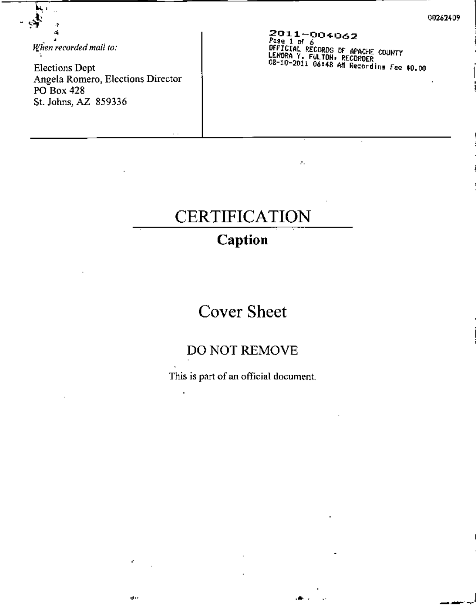*Ifhen recorded mail* to:

•

乘

ļц,  $\frac{1}{2}$ 

> Elections Dept Angela Romero, Elections Director PO Box 428 St. Johns, AZ 859336

> > د و

**2011-004-062** *PU~lor6* OFFICIAL RECORDS Dr APACHE COUNTY LENORA Y. **FULTON.** RECORDER 08-10-2011 06:48 **An** Recocdin. Fe~ **fO.oo**

ż.

# CERTIFICATION

## **Caption**

# Cover Sheet

### DO NOT REMOVE

This is part of an official document.

••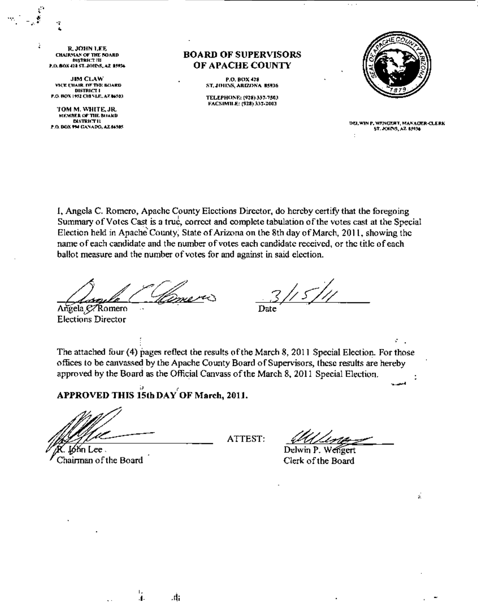R. JOHN LEE CHAIRMAN OF THE NOARD 0'''''''''' tIl  $P.0.00X421ST.$  JOIPS, AZ 25934

",' ••

ż

JIM ClAW **VICE CITAIR. DF THE BOARD** DISTRICT I F.O. BOX 1952 CHINLE, AZ 86503

TOM M. WHITE, JR. MEMBER OF THE BUARD. DISTRICT II P.O. DOX 994 GANADO, AZ 84505

#### BOARD OF SUPERVISORS OF APACHE COUNTY

P,O, BOX 428<br>ST, JOHNS, ARIZONA 85936

TELEPHONE: (928) 337-7503 FACSIMILE: (928) 337-2003



DELWIN P. WENGERT, MANAGER-CLERK ST. JOHNS, AZ 85936

I, Angela C. Romero, Apache County Elections Director, do hereby certifY that the foregoing Summary of Votes Cast is a true, correct and complete tabulation of the votes cast at the Special Election held in Apache County; State of Arizona on the 8th day of March, 2011, showing the name of each candidate and the number of votes each candidate received, or the title of each ballot measure and the number of votes for and against in said election.

Angela C. Romero Elections Director

 $^{\prime}$  5  $^{\prime}$ 

Date

The attached four (4) pages reflect tbe results oftbe March 8, 2011 Special Election. For those offices to be canvassed by the Apache County Board of Supervisors, these results are hereby approved by the Board as the Official Canvass of the March 8, 2011 Special Election ornees to be canvassed by the Apache County Board of Supervisors, these results are hereby<br>approved by the Board as the Official Canvass of the March 8, 2011 Special Election.<br>APPROVED THIS 15th DAY OF March, 2011.

•

,j. ,11;

ółn Lee Chainnan of the Board

ATTEST:

ś.

Delwin P. Wengert Clerk of the Board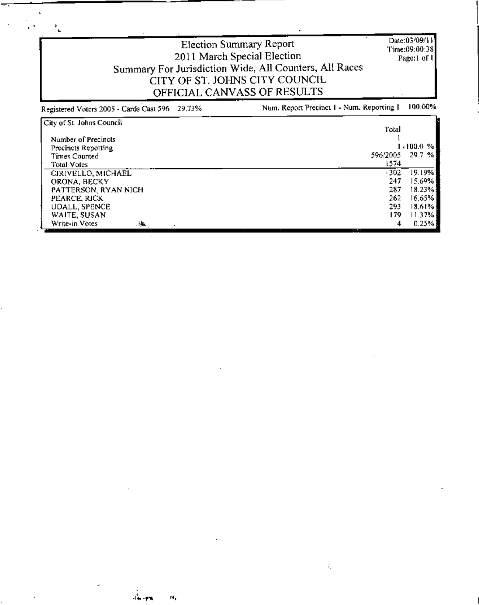| Date: 03/09/11<br>Election Summary Report<br>Time:09:00:38<br>2011 March Special Election<br>Page:1 of 1<br>Summary For Jurisdiction Wide, All Counters, All Races<br>CITY OF ST. JOHNS CITY COUNCIL<br>OFFICIAL CANVASS OF RESULTS |                                                |                                                                                   |  |  |  |  |
|-------------------------------------------------------------------------------------------------------------------------------------------------------------------------------------------------------------------------------------|------------------------------------------------|-----------------------------------------------------------------------------------|--|--|--|--|
| Registered Voters 2005 - Cards Cast 596 29.73%                                                                                                                                                                                      | Num. Report Precinct 1 - Num. Reporting 1      | 100.00%                                                                           |  |  |  |  |
| City of St. Johns Council<br>Number of Precincts<br>Precincts Reporting<br><b>Times Counted</b><br><b>Total Votes</b>                                                                                                               | Total<br>596/2005<br>1574                      | 1,100.0%<br>29.7%                                                                 |  |  |  |  |
| CIRIVELLO, MICHAEL<br>ORONA, BECKY<br>PATTERSON, RYAN NICH<br>PEARCE, RICK<br>UDALL, SPENCE<br>WAITE, SUSAN<br>Write-in Votes<br>ЛŁ.                                                                                                | $-302$<br>247<br>287<br>262<br>293<br>179<br>4 | 19.19%<br>15.69%<br>18.23%<br>16.65%<br>18.61% <sup>.</sup><br>$11.37\%$<br>0.25% |  |  |  |  |

 $\ddot{\phantom{a}}$ 

 $\cdot$ 

 $\sim$   $\alpha$  $\ddot{\phantom{a}}$ 

 $\ddot{\phantom{a}}$ 

 $\mathbb{Z}$ 

J.

 $\mathcal{L}$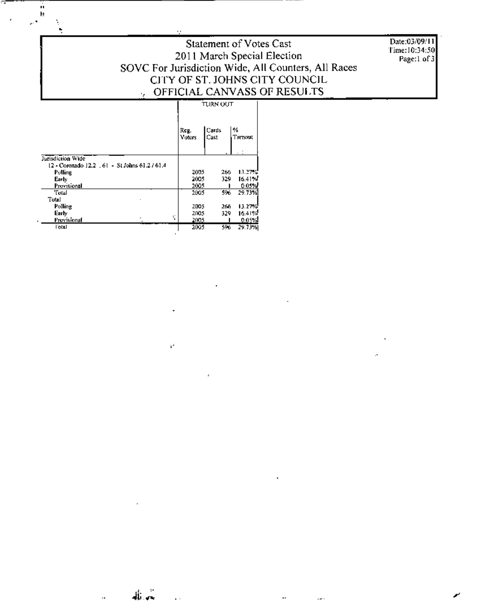Date:03/09/11 Time:10:34:50 Page:1 of 3

#### Statement of Votes Cast 2011 March Special Election SOVC For Jurisdiction Wide, All Counters, All Races CITY OF ST. JOHNS CITY COUNCIL OFFICIAL CANVASS OF RESULTS  $TURNOUT$ ┯  $\overline{\phantom{a}}$

|                                                  | .              |               |              |  |  |  |
|--------------------------------------------------|----------------|---------------|--------------|--|--|--|
|                                                  | Reg.<br>Voters | Cards<br>Cast | ₩<br>Turnout |  |  |  |
| Jurisdiction Wide                                |                |               |              |  |  |  |
| 12 - Coronado 12.2 - 61 - - 51 Johns 61 2 / 61 4 |                |               |              |  |  |  |
| Polling                                          | 2005           | 266           | 13.27%       |  |  |  |
| Early                                            | 2005           | 329           | 16.41%       |  |  |  |
| Provisional                                      | 2005           |               | 0.05%        |  |  |  |
| "Fotal                                           | 2005           | 596           | 29.73%       |  |  |  |
| Total                                            |                |               |              |  |  |  |
| Polling                                          | 2005           | 266           | 13.27%       |  |  |  |
| Early                                            | 2005           | 329           | 16.41%       |  |  |  |
| ÷<br>Provisional                                 | 2005           |               | 0.05%        |  |  |  |
| l'otal                                           | 2005           | 596           | 29.73%       |  |  |  |

 $\epsilon^2$ 

وأراه

 $\ddot{\phantom{a}}$ 

 $\sim$ 

ă,

ń  $\mathbf{h}$ 

÷,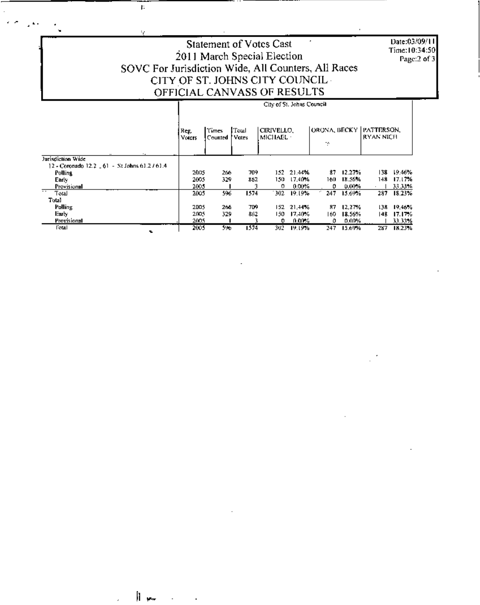## Date:03/09/11 Time:10:34:50<br>Page:2 of 3

### Statement of Votes Cast 2011 March Special Election SOVC For Jurisdiction Wide, All Counters, All Races CITY OF ST. JOHNS CITY COUNCIL OFFICIAL CANVASS OF RESULTS

ţ.

ę.

h ..

|                                                                     | City of St. Johns Council |                    |               |                              |          |      |        |                                               |        |
|---------------------------------------------------------------------|---------------------------|--------------------|---------------|------------------------------|----------|------|--------|-----------------------------------------------|--------|
|                                                                     | Reg.<br>Voters            | 't'imes<br>Counted | Toul<br>Vates | CIRIVELLO.<br><b>MICHAEL</b> |          | ÷    |        | ORONA, BECKY   PATTERSON,<br><b>RYAN NICH</b> |        |
| Jurisdiction Wide<br>12 - Coronado 12.2 - 61 - St Johns 61.2 / 61.4 |                           |                    |               |                              |          |      |        |                                               |        |
| Polling                                                             | 2005                      | 266.               | 709.          | 152.                         | 21.4%    | 87   | 12.27% | 138.                                          | 19.46% |
| Early.                                                              | 2005                      | 329                | 862           | 150.                         | 17,40%   | 160. | 18.56% | 148.                                          | 17.17% |
| Provisional                                                         | 2005                      |                    | ٩             | 0                            | 0.00%    | 0    | 0.00%  |                                               | 33.33% |
| ≂<br>Total                                                          | 2005                      | 596                | 1574          | 302                          | 19.19%   | 247  | 15.69% | 287                                           | 18.23% |
| Tutal                                                               |                           |                    |               |                              |          |      |        |                                               |        |
| Polling                                                             | 2005                      | 266                | 709.          | 152                          | 21.44%   | 87   | 12.27% | 138.                                          | 19,46% |
| Early.                                                              | 2005                      | 329                | 862           | 150                          | 17.40%   | 160. | 18.56% | 14 B                                          | 17.17% |
| Provisional                                                         | 2005                      |                    |               | o                            | $0.00\%$ | 0    | 0,00%  |                                               | 33.33% |
| Fotal<br>ъ.                                                         | 2005                      | 596                | 1574          | 302                          | 19.19%   | 247  | 15.69% | 287                                           | 18.23% |